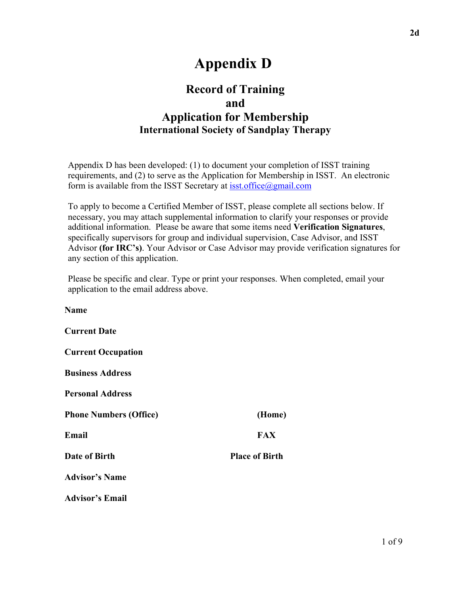# **Appendix D**

## **Record of Training and Application for Membership International Society of Sandplay Therapy**

Appendix D has been developed: (1) to document your completion of ISST training requirements, and (2) to serve as the Application for Membership in ISST. An electronic form is available from the ISST Secretary at isst.office@gmail.com

To apply to become a Certified Member of ISST, please complete all sections below. If necessary, you may attach supplemental information to clarify your responses or provide additional information. Please be aware that some items need **Verification Signatures**, specifically supervisors for group and individual supervision, Case Advisor, and ISST Advisor **(for IRC's)**. Your Advisor or Case Advisor may provide verification signatures for any section of this application.

Please be specific and clear. Type or print your responses. When completed, email your application to the email address above.

**Name Current Date Current Occupation Business Address Personal Address Phone Numbers (Office) (Home) Email** FAX **Date of Birth Place of Birth Advisor's Name Advisor's Email**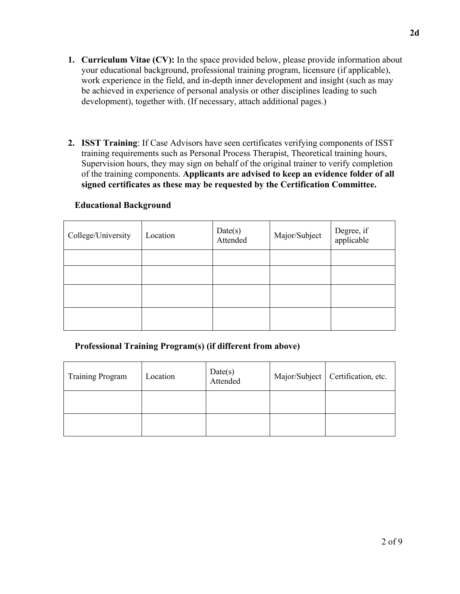- **1. Curriculum Vitae (CV):** In the space provided below, please provide information about your educational background, professional training program, licensure (if applicable), work experience in the field, and in-depth inner development and insight (such as may be achieved in experience of personal analysis or other disciplines leading to such development), together with. (If necessary, attach additional pages.)
- **2. ISST Training**: If Case Advisors have seen certificates verifying components of ISST training requirements such as Personal Process Therapist, Theoretical training hours, Supervision hours, they may sign on behalf of the original trainer to verify completion of the training components. **Applicants are advised to keep an evidence folder of all signed certificates as these may be requested by the Certification Committee.**

#### **Educational Background**

| College/University | Location | Date(s)<br>Attended | Major/Subject | Degree, if<br>applicable |
|--------------------|----------|---------------------|---------------|--------------------------|
|                    |          |                     |               |                          |
|                    |          |                     |               |                          |
|                    |          |                     |               |                          |
|                    |          |                     |               |                          |

#### **Professional Training Program(s) (if different from above)**

| <b>Training Program</b> | Location | Date(s)<br>Attended | Major/Subject   Certification, etc. |
|-------------------------|----------|---------------------|-------------------------------------|
|                         |          |                     |                                     |
|                         |          |                     |                                     |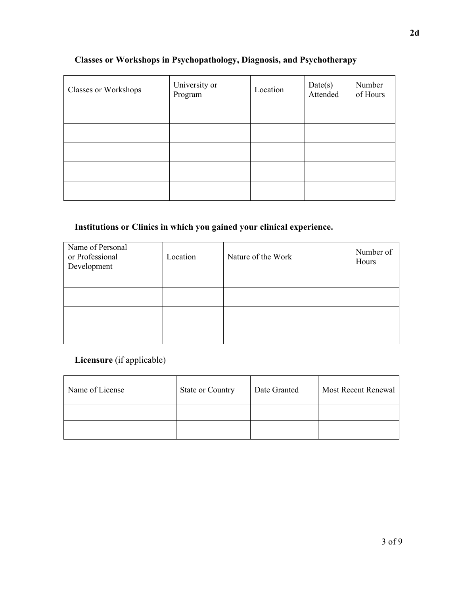| <b>Classes or Workshops</b> | University or<br>Program | Location | Date(s)<br>Attended | Number<br>of Hours |
|-----------------------------|--------------------------|----------|---------------------|--------------------|
|                             |                          |          |                     |                    |
|                             |                          |          |                     |                    |
|                             |                          |          |                     |                    |
|                             |                          |          |                     |                    |
|                             |                          |          |                     |                    |

## **Classes or Workshops in Psychopathology, Diagnosis, and Psychotherapy**

## **Institutions or Clinics in which you gained your clinical experience.**

| Name of Personal<br>or Professional<br>Development | Location | Nature of the Work | Number of<br>Hours |
|----------------------------------------------------|----------|--------------------|--------------------|
|                                                    |          |                    |                    |
|                                                    |          |                    |                    |
|                                                    |          |                    |                    |
|                                                    |          |                    |                    |

### **Licensure** (if applicable)

| Name of License | <b>State or Country</b> | Date Granted | Most Recent Renewal |
|-----------------|-------------------------|--------------|---------------------|
|                 |                         |              |                     |
|                 |                         |              |                     |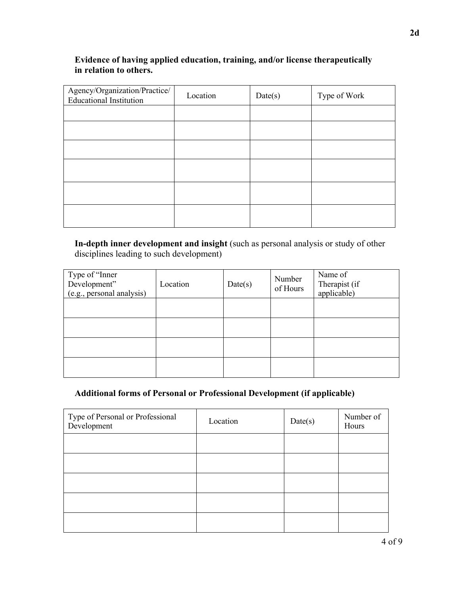### **Evidence of having applied education, training, and/or license therapeutically in relation to others.**

| Agency/Organization/Practice/<br><b>Educational Institution</b> | Location | Date(s) | Type of Work |
|-----------------------------------------------------------------|----------|---------|--------------|
|                                                                 |          |         |              |
|                                                                 |          |         |              |
|                                                                 |          |         |              |
|                                                                 |          |         |              |
|                                                                 |          |         |              |
|                                                                 |          |         |              |

**In-depth inner development and insight** (such as personal analysis or study of other disciplines leading to such development)

| Type of "Inner<br>Development"<br>(e.g., personal analysis) | Location | Date(s) | Number<br>of Hours | Name of<br>Therapist (if<br>applicable) |
|-------------------------------------------------------------|----------|---------|--------------------|-----------------------------------------|
|                                                             |          |         |                    |                                         |
|                                                             |          |         |                    |                                         |
|                                                             |          |         |                    |                                         |
|                                                             |          |         |                    |                                         |

### **Additional forms of Personal or Professional Development (if applicable)**

| Type of Personal or Professional<br>Development | Location | Date(s) | Number of<br>Hours |
|-------------------------------------------------|----------|---------|--------------------|
|                                                 |          |         |                    |
|                                                 |          |         |                    |
|                                                 |          |         |                    |
|                                                 |          |         |                    |
|                                                 |          |         |                    |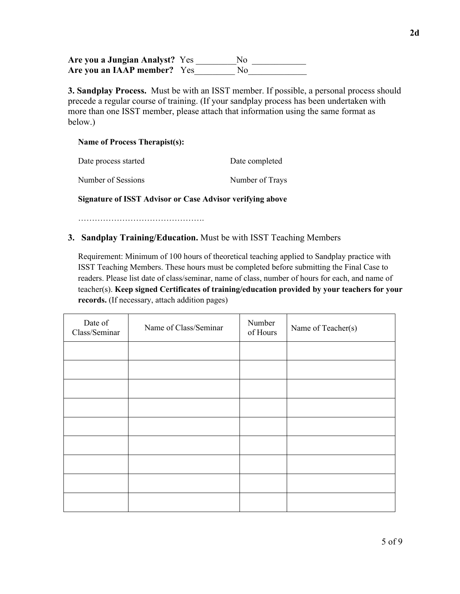**Are you a Jungian Analyst?** Yes \_\_\_\_\_\_\_\_\_No \_\_\_\_\_\_\_\_\_\_\_\_ Are you an IAAP member? Yes No

**3. Sandplay Process.** Must be with an ISST member. If possible, a personal process should precede a regular course of training. (If your sandplay process has been undertaken with more than one ISST member, please attach that information using the same format as below.)

#### **Name of Process Therapist(s):**

| Date process started | Date completed  |
|----------------------|-----------------|
| Number of Sessions   | Number of Trays |

**Signature of ISST Advisor or Case Advisor verifying above**

……………………………………….

#### **3. Sandplay Training/Education.** Must be with ISST Teaching Members

Requirement: Minimum of 100 hours of theoretical teaching applied to Sandplay practice with ISST Teaching Members. These hours must be completed before submitting the Final Case to readers. Please list date of class/seminar, name of class, number of hours for each, and name of teacher(s). **Keep signed Certificates of training/education provided by your teachers for your records.** (If necessary, attach addition pages)

| Date of<br>Class/Seminar | Name of Class/Seminar | Number<br>of Hours | Name of Teacher(s) |
|--------------------------|-----------------------|--------------------|--------------------|
|                          |                       |                    |                    |
|                          |                       |                    |                    |
|                          |                       |                    |                    |
|                          |                       |                    |                    |
|                          |                       |                    |                    |
|                          |                       |                    |                    |
|                          |                       |                    |                    |
|                          |                       |                    |                    |
|                          |                       |                    |                    |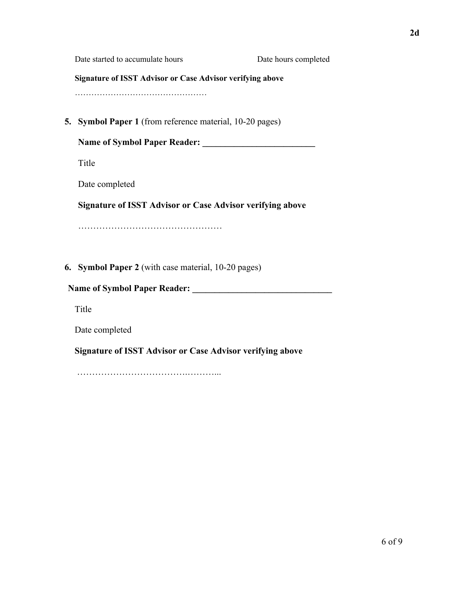|    | Date started to accumulate hours                                 | Date hours completed |
|----|------------------------------------------------------------------|----------------------|
|    | <b>Signature of ISST Advisor or Case Advisor verifying above</b> |                      |
|    |                                                                  |                      |
| 5. | <b>Symbol Paper 1</b> (from reference material, 10-20 pages)     |                      |
|    | <b>Name of Symbol Paper Reader:</b>                              |                      |
|    | Title                                                            |                      |
|    | Date completed                                                   |                      |
|    | <b>Signature of ISST Advisor or Case Advisor verifying above</b> |                      |
|    |                                                                  |                      |
|    |                                                                  |                      |
|    | 6. Symbol Paper 2 (with case material, 10-20 pages)              |                      |
|    | <b>Name of Symbol Paper Reader:</b>                              |                      |
|    | Title                                                            |                      |
|    | Date completed                                                   |                      |
|    | <b>Signature of ISST Advisor or Case Advisor verifying above</b> |                      |
|    |                                                                  |                      |
|    |                                                                  |                      |
|    |                                                                  |                      |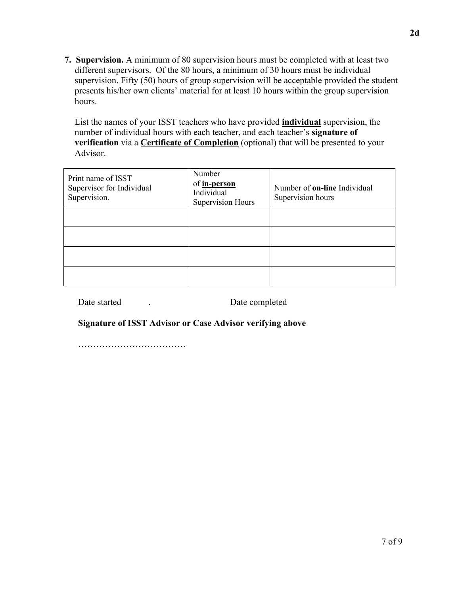**7. Supervision.** A minimum of 80 supervision hours must be completed with at least two different supervisors. Of the 80 hours, a minimum of 30 hours must be individual supervision. Fifty (50) hours of group supervision will be acceptable provided the student presents his/her own clients' material for at least 10 hours within the group supervision hours.

List the names of your ISST teachers who have provided **individual** supervision, the number of individual hours with each teacher, and each teacher's **signature of verification** via a **Certificate of Completion** (optional) that will be presented to your Advisor.

| Print name of ISST<br>Supervisor for Individual<br>Supervision. | Number<br>of in-person<br>Individual<br><b>Supervision Hours</b> | Number of <b>on-line</b> Individual<br>Supervision hours |
|-----------------------------------------------------------------|------------------------------------------------------------------|----------------------------------------------------------|
|                                                                 |                                                                  |                                                          |
|                                                                 |                                                                  |                                                          |
|                                                                 |                                                                  |                                                          |
|                                                                 |                                                                  |                                                          |

Date started . Date completed

#### **Signature of ISST Advisor or Case Advisor verifying above**

………………………………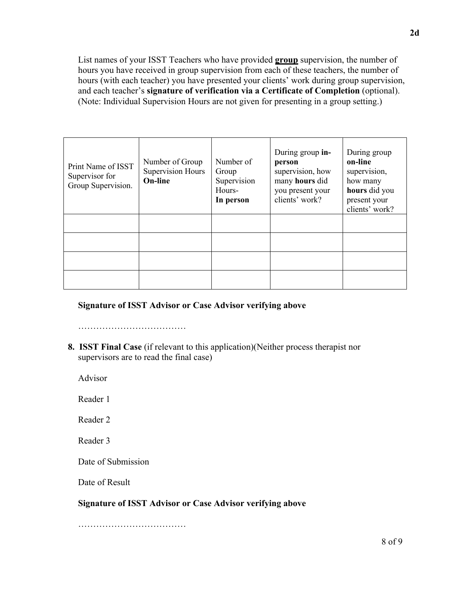List names of your ISST Teachers who have provided **group** supervision, the number of hours you have received in group supervision from each of these teachers, the number of hours (with each teacher) you have presented your clients' work during group supervision, and each teacher's **signature of verification via a Certificate of Completion** (optional). (Note: Individual Supervision Hours are not given for presenting in a group setting.)

| Print Name of ISST<br>Supervisor for<br>Group Supervision. | Number of Group<br><b>Supervision Hours</b><br><b>On-line</b> | Number of<br>Group<br>Supervision<br>Hours-<br>In person | During group in-<br>person<br>supervision, how<br>many hours did<br>you present your<br>clients' work? | During group<br>on-line<br>supervision,<br>how many<br>hours did you<br>present your<br>clients' work? |
|------------------------------------------------------------|---------------------------------------------------------------|----------------------------------------------------------|--------------------------------------------------------------------------------------------------------|--------------------------------------------------------------------------------------------------------|
|                                                            |                                                               |                                                          |                                                                                                        |                                                                                                        |
|                                                            |                                                               |                                                          |                                                                                                        |                                                                                                        |
|                                                            |                                                               |                                                          |                                                                                                        |                                                                                                        |
|                                                            |                                                               |                                                          |                                                                                                        |                                                                                                        |

#### **Signature of ISST Advisor or Case Advisor verifying above**

…………………………………………

**8. ISST Final Case** (if relevant to this application)(Neither process therapist nor supervisors are to read the final case)

Advisor

Reader 1

Reader 2

Reader 3

Date of Submission

Date of Result

#### **Signature of ISST Advisor or Case Advisor verifying above**

……………………………………………